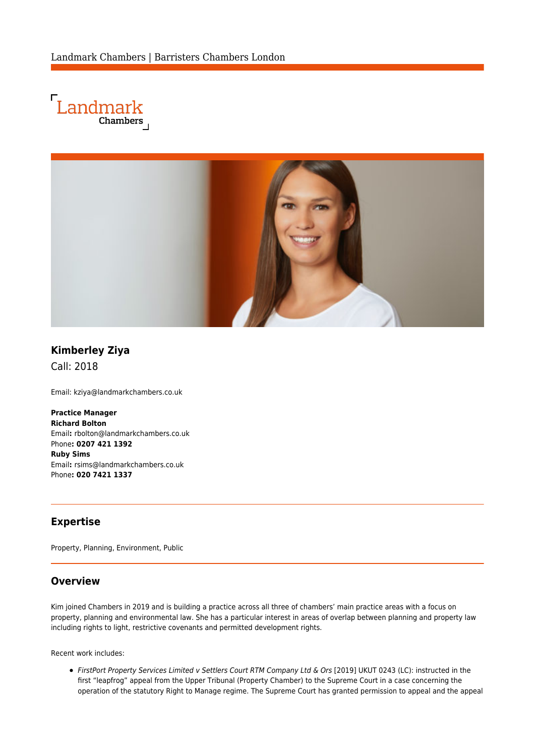



# **Kimberley Ziya**

Call: 2018

Email: [kziya@landmarkchambers.co.uk](mailto:kziya@landmarkchambers.co.uk)

**Practice Manager Richard Bolton** Email**:** [rbolton@landmarkchambers.co.uk](mailto:rbolton@landmarkchambers.co.uk) Phone**: 0207 421 1392 Ruby Sims** Email**:** [rsims@landmarkchambers.co.uk](mailto:rsims@landmarkchambers.co.uk) Phone**: 020 7421 1337**

### **Expertise**

Property, Planning, Environment, Public

#### **Overview**

Kim joined Chambers in 2019 and is building a practice across all three of chambers' main practice areas with a focus on property, planning and environmental law. She has a particular interest in areas of overlap between planning and property law including rights to light, restrictive covenants and permitted development rights.

Recent work includes:

FirstPort Property Services Limited v Settlers Court RTM Company Ltd & Ors [2019] UKUT 0243 (LC): instructed in the first "leapfrog" appeal from the Upper Tribunal (Property Chamber) to the Supreme Court in a case concerning the operation of the statutory Right to Manage regime. The Supreme Court has granted permission to appeal and the appeal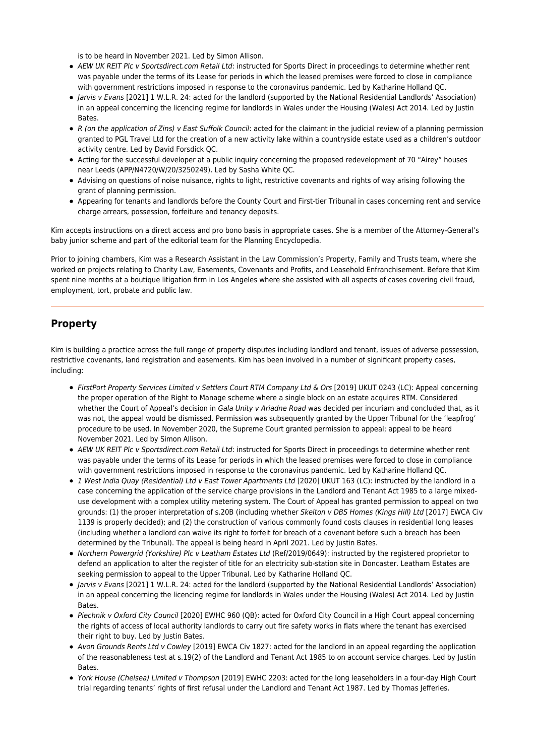is to be heard in November 2021. Led by [Simon Allison](https://www.landmarkchambers.co.uk/people/simon-allison/).

- AEW UK REIT Plc v Sportsdirect.com Retail Ltd: instructed for Sports Direct in proceedings to determine whether rent was payable under the terms of its Lease for periods in which the leased premises were forced to close in compliance with government restrictions imposed in response to the coronavirus pandemic. Led by [Katharine Holland QC.](https://www.landmarkchambers.co.uk/people/katharine-holland-qc/)
- Jarvis v Evans [2021] 1 W.L.R. 24: acted for the landlord (supported by the National Residential Landlords' Association) in an appeal concerning the licencing regime for landlords in Wales under the Housing (Wales) Act 2014. Led by [Justin](https://www.landmarkchambers.co.uk/people/justin-bates/) [Bates.](https://www.landmarkchambers.co.uk/people/justin-bates/)
- R (on the application of Zins) v East Suffolk Council: acted for the claimant in the judicial review of a planning permission granted to PGL Travel Ltd for the creation of a new activity lake within a countryside estate used as a children's outdoor activity centre. Led by [David Forsdick QC](https://www.landmarkchambers.co.uk/people/david-forsdick-qc/).
- Acting for the successful developer at a public inquiry concerning the proposed redevelopment of 70 "Airey" houses near Leeds (APP/N4720/W/20/3250249). Led by [Sasha White QC.](https://www.landmarkchambers.co.uk/people/sasha-white-qc/)
- Advising on questions of noise nuisance, rights to light, restrictive covenants and rights of way arising following the grant of planning permission.
- Appearing for tenants and landlords before the County Court and First-tier Tribunal in cases concerning rent and service charge arrears, possession, forfeiture and tenancy deposits.

Kim accepts instructions on a direct access and pro bono basis in appropriate cases. She is a member of the Attorney-General's baby junior scheme and part of the editorial team for the Planning Encyclopedia.

Prior to joining chambers, Kim was a Research Assistant in the Law Commission's Property, Family and Trusts team, where she worked on projects relating to Charity Law, Easements, Covenants and Profits, and Leasehold Enfranchisement. Before that Kim spent nine months at a boutique litigation firm in Los Angeles where she assisted with all aspects of cases covering civil fraud, employment, tort, probate and public law.

#### **Property**

Kim is building a practice across the full range of property disputes including landlord and tenant, issues of adverse possession, restrictive covenants, land registration and easements. Kim has been involved in a number of significant property cases, including:

- FirstPort Property Services Limited v Settlers Court RTM Company Ltd & Ors [2019] UKUT 0243 (LC): Appeal concerning the proper operation of the Right to Manage scheme where a single block on an estate acquires RTM. Considered whether the Court of Appeal's decision in Gala Unity v Ariadne Road was decided per incuriam and concluded that, as it was not, the appeal would be dismissed. Permission was subsequently granted by the Upper Tribunal for the 'leapfrog' procedure to be used. In November 2020, the Supreme Court granted permission to appeal; appeal to be heard November 2021. Led by [Simon Allison](https://www.landmarkchambers.co.uk/people/simon-allison/).
- AEW UK REIT Plc v Sportsdirect.com Retail Ltd: instructed for Sports Direct in proceedings to determine whether rent was payable under the terms of its Lease for periods in which the leased premises were forced to close in compliance with government restrictions imposed in response to the coronavirus pandemic. Led by [Katharine Holland QC.](https://www.landmarkchambers.co.uk/people/katharine-holland-qc/)
- 1 West India Quay (Residential) Ltd v East Tower Apartments Ltd [2020] UKUT 163 (LC): instructed by the landlord in a case concerning the application of the service charge provisions in the Landlord and Tenant Act 1985 to a large mixeduse development with a complex utility metering system. The Court of Appeal has granted permission to appeal on two grounds: (1) the proper interpretation of s.20B (including whether Skelton v DBS Homes (Kings Hill) Ltd [2017] EWCA Civ 1139 is properly decided); and (2) the construction of various commonly found costs clauses in residential long leases (including whether a landlord can waive its right to forfeit for breach of a covenant before such a breach has been determined by the Tribunal). The appeal is being heard in April 2021. Led by [Justin Bates](https://www.landmarkchambers.co.uk/people/justin-bates/).
- Northern Powergrid (Yorkshire) Plc v Leatham Estates Ltd (Ref/2019/0649): instructed by the registered proprietor to defend an application to alter the register of title for an electricity sub-station site in Doncaster. Leatham Estates are seeking permission to appeal to the Upper Tribunal. Led by [Katharine Holland QC.](https://www.landmarkchambers.co.uk/people/katharine-holland-qc/)
- Jarvis v Evans [2021] 1 W.L.R. 24: acted for the landlord (supported by the National Residential Landlords' Association) in an appeal concerning the licencing regime for landlords in Wales under the Housing (Wales) Act 2014. Led by [Justin](https://www.landmarkchambers.co.uk/people/justin-bates/) **Bates**
- Piechnik v Oxford City Council [2020] EWHC 960 (QB): acted for Oxford City Council in a High Court appeal concerning the rights of access of local authority landlords to carry out fire safety works in flats where the tenant has exercised their right to buy. Led by [Justin Bates](https://www.landmarkchambers.co.uk/people/justin-bates/).
- Avon Grounds Rents Ltd v Cowley [2019] EWCA Civ 1827: acted for the landlord in an appeal regarding the application of the reasonableness test at s.19(2) of the Landlord and Tenant Act 1985 to on account service charges. Led by [Justin](https://www.landmarkchambers.co.uk/people/justin-bates/) [Bates.](https://www.landmarkchambers.co.uk/people/justin-bates/)
- York House (Chelsea) Limited v Thompson [2019] EWHC 2203: acted for the long leaseholders in a four-day High Court trial regarding tenants' rights of first refusal under the Landlord and Tenant Act 1987. Led by [Thomas Jefferies](https://www.landmarkchambers.co.uk/people/thomas-jefferies/).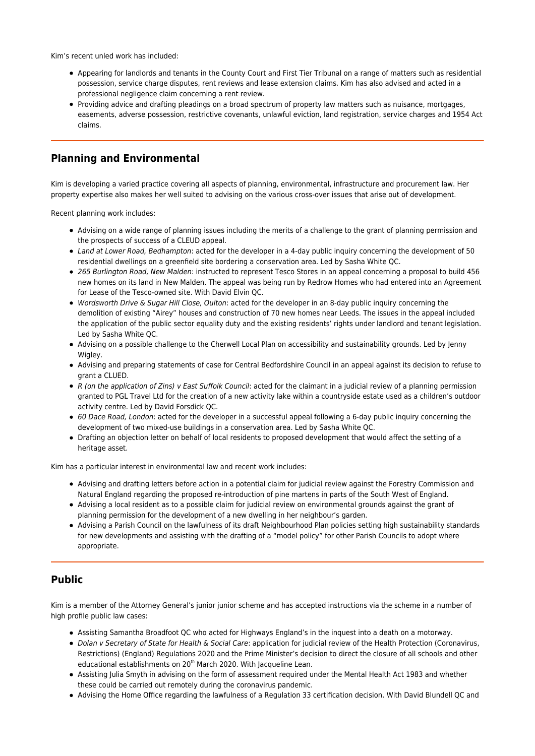Kim's recent unled work has included:

- Appearing for landlords and tenants in the County Court and First Tier Tribunal on a range of matters such as residential possession, service charge disputes, rent reviews and lease extension claims. Kim has also advised and acted in a professional negligence claim concerning a rent review.
- Providing advice and drafting pleadings on a broad spectrum of property law matters such as nuisance, mortgages, easements, adverse possession, restrictive covenants, unlawful eviction, land registration, service charges and 1954 Act claims.

### **Planning and Environmental**

Kim is developing a varied practice covering all aspects of planning, environmental, infrastructure and procurement law. Her property expertise also makes her well suited to advising on the various cross-over issues that arise out of development.

Recent planning work includes:

- Advising on a wide range of planning issues including the merits of a challenge to the grant of planning permission and the prospects of success of a CLEUD appeal.
- Land at Lower Road, Bedhampton: acted for the developer in a 4-day public inquiry concerning the development of 50 residential dwellings on a greenfield site bordering a conservation area. Led by [Sasha White QC.](https://www.landmarkchambers.co.uk/people/sasha-white-qc/)
- 265 Burlington Road, New Malden: instructed to represent Tesco Stores in an appeal concerning a proposal to build 456 new homes on its land in New Malden. The appeal was being run by Redrow Homes who had entered into an Agreement for Lease of the Tesco-owned site. With [David Elvin QC](https://www.landmarkchambers.co.uk/people/david-elvin-qc/).
- Wordsworth Drive & Sugar Hill Close, Oulton: acted for the developer in an 8-day public inquiry concerning the demolition of existing "Airey" houses and construction of 70 new homes near Leeds. The issues in the appeal included the application of the public sector equality duty and the existing residents' rights under landlord and tenant legislation. Led by [Sasha White QC.](https://www.landmarkchambers.co.uk/people/sasha-white-qc/)
- Advising on a possible challenge to the Cherwell Local Plan on accessibility and sustainability grounds. Led by [Jenny](https://www.landmarkchambers.co.uk/people/jenny-wigley/) [Wigley.](https://www.landmarkchambers.co.uk/people/jenny-wigley/)
- Advising and preparing statements of case for Central Bedfordshire Council in an appeal against its decision to refuse to grant a CLUED.
- R (on the application of Zins) v East Suffolk Council: acted for the claimant in a judicial review of a planning permission granted to PGL Travel Ltd for the creation of a new activity lake within a countryside estate used as a children's outdoor activity centre. Led by [David Forsdick QC](https://www.landmarkchambers.co.uk/people/david-forsdick-qc/).
- 60 Dace Road, London: acted for the developer in a successful appeal following a 6-day public inquiry concerning the development of two mixed-use buildings in a conservation area. Led by [Sasha White QC](https://www.landmarkchambers.co.uk/people/sasha-white-qc/).
- Drafting an objection letter on behalf of local residents to proposed development that would affect the setting of a heritage asset.

Kim has a particular interest in environmental law and recent work includes:

- Advising and drafting letters before action in a potential claim for judicial review against the Forestry Commission and Natural England regarding the proposed re-introduction of pine martens in parts of the South West of England.
- Advising a local resident as to a possible claim for judicial review on environmental grounds against the grant of planning permission for the development of a new dwelling in her neighbour's garden.
- Advising a Parish Council on the lawfulness of its draft Neighbourhood Plan policies setting high sustainability standards for new developments and assisting with the drafting of a "model policy" for other Parish Councils to adopt where appropriate.

### **Public**

Kim is a member of the Attorney General's junior junior scheme and has accepted instructions via the scheme in a number of high profile public law cases:

- Assisting [Samantha Broadfoot QC](https://www.landmarkchambers.co.uk/people/samantha-broadfoot-qc/) who acted for Highways England's in the inquest into a death on a motorway.
- Dolan v Secretary of State for Health & Social Care: application for judicial review of the Health Protection (Coronavirus, Restrictions) (England) Regulations 2020 and the Prime Minister's decision to direct the closure of all schools and other educational establishments on 20<sup>th</sup> March 2020. With [Jacqueline Lean.](https://www.landmarkchambers.co.uk/people/jacqueline-lean/)
- Assisting [Julia Smyth](https://www.landmarkchambers.co.uk/people/julia-smyth/) in advising on the form of assessment required under the Mental Health Act 1983 and whether these could be carried out remotely during the coronavirus pandemic.
- Advising the Home Office regarding the lawfulness of a Regulation 33 certification decision. With [David Blundell QC](https://www.landmarkchambers.co.uk/people/david-blundell/) and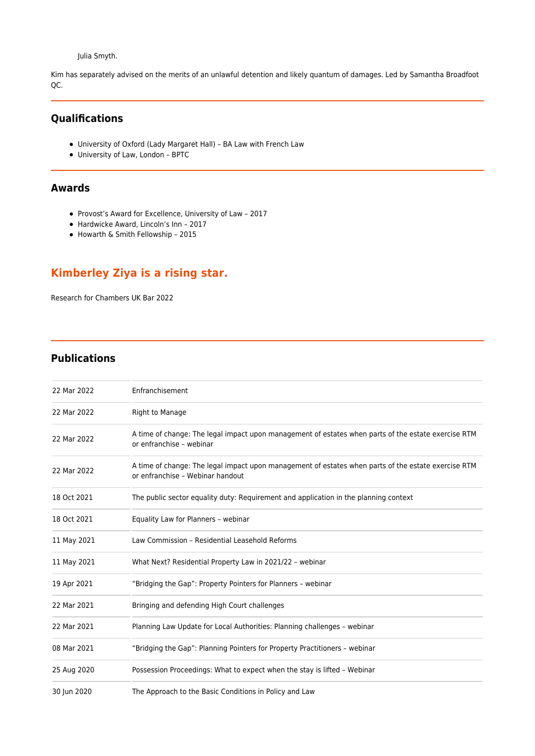[Julia Smyth.](https://www.landmarkchambers.co.uk/people/julia-smyth/)

Kim has separately advised on the merits of an unlawful detention and likely quantum of damages. Led by [Samantha Broadfoot](https://www.landmarkchambers.co.uk/people/samantha-broadfoot-qc/) [QC.](https://www.landmarkchambers.co.uk/people/samantha-broadfoot-qc/)

## **Qualifications**

- University of Oxford (Lady Margaret Hall) BA Law with French Law
- University of Law, London BPTC

### **Awards**

- Provost's Award for Excellence, University of Law 2017
- Hardwicke Award, Lincoln's Inn 2017
- Howarth & Smith Fellowship 2015

# **Kimberley Ziya is a rising star.**

Research for Chambers UK Bar 2022

### **Publications**

| 22 Mar 2022 | Enfranchisement                                                                                                                         |
|-------------|-----------------------------------------------------------------------------------------------------------------------------------------|
| 22 Mar 2022 | Right to Manage                                                                                                                         |
| 22 Mar 2022 | A time of change: The legal impact upon management of estates when parts of the estate exercise RTM<br>or enfranchise - webinar         |
| 22 Mar 2022 | A time of change: The legal impact upon management of estates when parts of the estate exercise RTM<br>or enfranchise - Webinar handout |
| 18 Oct 2021 | The public sector equality duty: Requirement and application in the planning context                                                    |
| 18 Oct 2021 | Equality Law for Planners - webinar                                                                                                     |
| 11 May 2021 | Law Commission - Residential Leasehold Reforms                                                                                          |
| 11 May 2021 | What Next? Residential Property Law in 2021/22 - webinar                                                                                |
| 19 Apr 2021 | "Bridging the Gap": Property Pointers for Planners - webinar                                                                            |
| 22 Mar 2021 | Bringing and defending High Court challenges                                                                                            |
| 22 Mar 2021 | Planning Law Update for Local Authorities: Planning challenges - webinar                                                                |
| 08 Mar 2021 | "Bridging the Gap": Planning Pointers for Property Practitioners - webinar                                                              |
| 25 Aug 2020 | Possession Proceedings: What to expect when the stay is lifted - Webinar                                                                |
| 30 Jun 2020 | The Approach to the Basic Conditions in Policy and Law                                                                                  |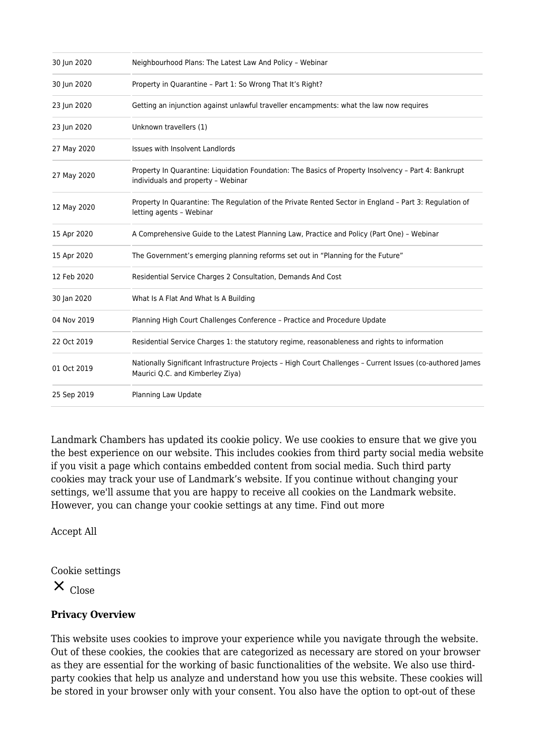| 30 Jun 2020 | Neighbourhood Plans: The Latest Law And Policy - Webinar                                                                                       |
|-------------|------------------------------------------------------------------------------------------------------------------------------------------------|
| 30 Jun 2020 | Property in Quarantine - Part 1: So Wrong That It's Right?                                                                                     |
| 23 Jun 2020 | Getting an injunction against unlawful traveller encampments: what the law now requires                                                        |
| 23 Jun 2020 | Unknown travellers (1)                                                                                                                         |
| 27 May 2020 | Issues with Insolvent Landlords                                                                                                                |
| 27 May 2020 | Property In Quarantine: Liquidation Foundation: The Basics of Property Insolvency - Part 4: Bankrupt<br>individuals and property - Webinar     |
| 12 May 2020 | Property In Quarantine: The Regulation of the Private Rented Sector in England - Part 3: Regulation of<br>letting agents - Webinar             |
| 15 Apr 2020 | A Comprehensive Guide to the Latest Planning Law, Practice and Policy (Part One) - Webinar                                                     |
| 15 Apr 2020 | The Government's emerging planning reforms set out in "Planning for the Future"                                                                |
| 12 Feb 2020 | Residential Service Charges 2 Consultation, Demands And Cost                                                                                   |
| 30 Jan 2020 | What Is A Flat And What Is A Building                                                                                                          |
| 04 Nov 2019 | Planning High Court Challenges Conference - Practice and Procedure Update                                                                      |
| 22 Oct 2019 | Residential Service Charges 1: the statutory regime, reasonableness and rights to information                                                  |
| 01 Oct 2019 | Nationally Significant Infrastructure Projects - High Court Challenges - Current Issues (co-authored James<br>Maurici Q.C. and Kimberley Ziya) |
| 25 Sep 2019 | Planning Law Update                                                                                                                            |

Landmark Chambers has updated its cookie policy. We use cookies to ensure that we give you the best experience on our website. This includes cookies from third party social media website if you visit a page which contains embedded content from social media. Such third party cookies may track your use of Landmark's website. If you continue without changing your settings, we'll assume that you are happy to receive all cookies on the Landmark website. However, you can change your cookie settings at any time. [Find out more](https://www.landmarkchambers.co.uk/how-we-use-cookies/)

Accept All

Cookie settings

 $X_{\text{Close}}$ 

## **Privacy Overview**

This website uses cookies to improve your experience while you navigate through the website. Out of these cookies, the cookies that are categorized as necessary are stored on your browser as they are essential for the working of basic functionalities of the website. We also use thirdparty cookies that help us analyze and understand how you use this website. These cookies will be stored in your browser only with your consent. You also have the option to opt-out of these